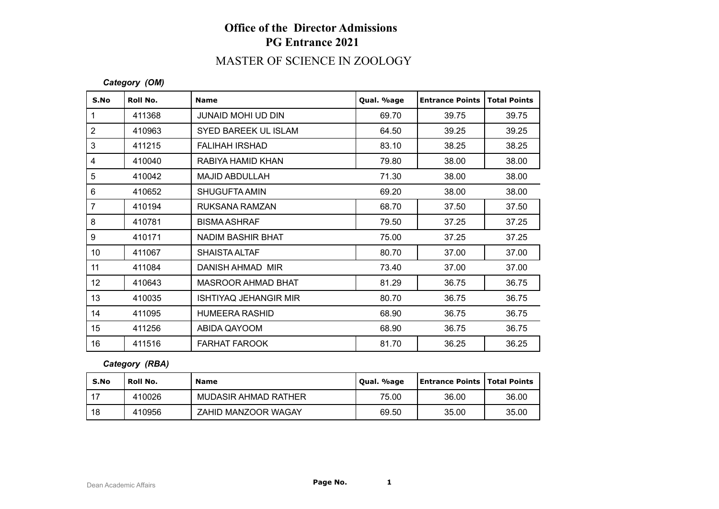# **Office of the Director Admissions PG Entrance 2021**

# MASTER OF SCIENCE IN ZOOLOGY

#### *Category (OM)*

| S.No           | Roll No. | <b>Name</b>                  | Qual. %age | <b>Entrance Points</b> | <b>Total Points</b> |
|----------------|----------|------------------------------|------------|------------------------|---------------------|
| $\mathbf{1}$   | 411368   | <b>JUNAID MOHI UD DIN</b>    | 69.70      | 39.75                  | 39.75               |
| $\overline{2}$ | 410963   | SYED BAREEK UL ISLAM         | 64.50      | 39.25                  | 39.25               |
| 3              | 411215   | <b>FALIHAH IRSHAD</b>        | 83.10      | 38.25                  | 38.25               |
| 4              | 410040   | RABIYA HAMID KHAN            | 79.80      | 38.00                  | 38.00               |
| 5              | 410042   | <b>MAJID ABDULLAH</b>        | 71.30      | 38.00                  | 38.00               |
| 6              | 410652   | SHUGUFTA AMIN                | 69.20      | 38.00                  | 38.00               |
| $\overline{7}$ | 410194   | RUKSANA RAMZAN               | 68.70      | 37.50                  | 37.50               |
| 8              | 410781   | <b>BISMA ASHRAF</b>          | 79.50      | 37.25                  | 37.25               |
| 9              | 410171   | NADIM BASHIR BHAT            | 75.00      | 37.25                  | 37.25               |
| 10             | 411067   | <b>SHAISTA ALTAF</b>         | 80.70      | 37.00                  | 37.00               |
| 11             | 411084   | DANISH AHMAD MIR             | 73.40      | 37.00                  | 37.00               |
| 12             | 410643   | <b>MASROOR AHMAD BHAT</b>    | 81.29      | 36.75                  | 36.75               |
| 13             | 410035   | <b>ISHTIYAQ JEHANGIR MIR</b> | 80.70      | 36.75                  | 36.75               |
| 14             | 411095   | <b>HUMEERA RASHID</b>        | 68.90      | 36.75                  | 36.75               |
| 15             | 411256   | ABIDA QAYOOM                 | 68.90      | 36.75                  | 36.75               |
| 16             | 411516   | <b>FARHAT FAROOK</b>         | 81.70      | 36.25                  | 36.25               |

### *Category (RBA)*

| S.No | Roll No. | Name                 | Qual. %age | <b>Entrance Points   Total Points  </b> |       |
|------|----------|----------------------|------------|-----------------------------------------|-------|
| . 17 | 410026   | MUDASIR AHMAD RATHER | 75.00      | 36.00                                   | 36.00 |
| 18   | 410956   | ZAHID MANZOOR WAGAY  | 69.50      | 35.00                                   | 35.00 |